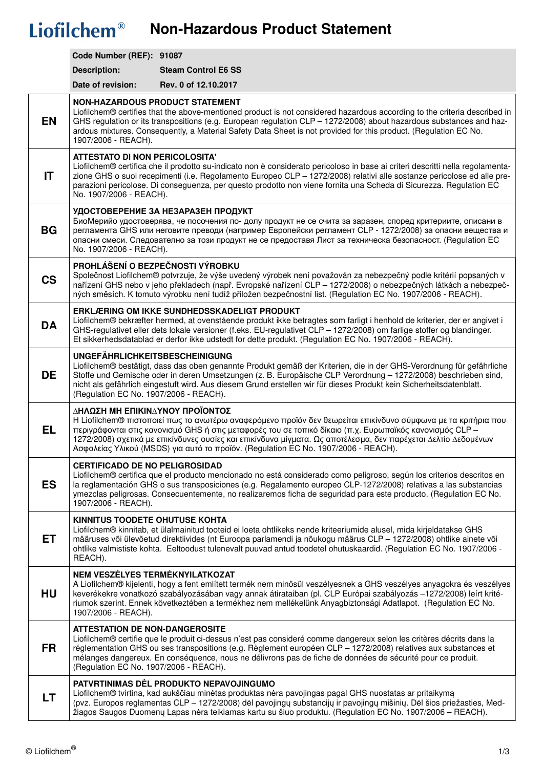## Liofilchem<sup>®</sup> Non-Hazardous Product Statement

|           | Code Number (REF): 91087                                                                                                                                                                                                                                                                                                                                                                                                                                              |                            |  |
|-----------|-----------------------------------------------------------------------------------------------------------------------------------------------------------------------------------------------------------------------------------------------------------------------------------------------------------------------------------------------------------------------------------------------------------------------------------------------------------------------|----------------------------|--|
|           | <b>Description:</b>                                                                                                                                                                                                                                                                                                                                                                                                                                                   | <b>Steam Control E6 SS</b> |  |
|           | Date of revision:                                                                                                                                                                                                                                                                                                                                                                                                                                                     | Rev. 0 of 12.10.2017       |  |
| <b>EN</b> | <b>NON-HAZARDOUS PRODUCT STATEMENT</b><br>Liofilchem® certifies that the above-mentioned product is not considered hazardous according to the criteria described in<br>GHS regulation or its transpositions (e.g. European regulation CLP - 1272/2008) about hazardous substances and haz-<br>ardous mixtures. Consequently, a Material Safety Data Sheet is not provided for this product. (Regulation EC No.<br>1907/2006 - REACH).                                 |                            |  |
| IT        | <b>ATTESTATO DI NON PERICOLOSITA'</b><br>Liofilchem® certifica che il prodotto su-indicato non è considerato pericoloso in base ai criteri descritti nella regolamenta-<br>zione GHS o suoi recepimenti (i.e. Regolamento Europeo CLP - 1272/2008) relativi alle sostanze pericolose ed alle pre-<br>parazioni pericolose. Di conseguenza, per questo prodotto non viene fornita una Scheda di Sicurezza. Regulation EC<br>No. 1907/2006 - REACH).                    |                            |  |
| <b>BG</b> | УДОСТОВЕРЕНИЕ ЗА НЕЗАРАЗЕН ПРОДУКТ<br>БиоМерийо удостоверява, че посочения по- долу продукт не се счита за заразен, според критериите, описани в<br>регламента GHS или неговите преводи (например Европейски регламент CLP - 1272/2008) за опасни вещества и<br>опасни смеси. Следователно за този продукт не се предоставя Лист за техническа безопасност. (Regulation EC<br>No. 1907/2006 - REACH).                                                                 |                            |  |
| <b>CS</b> | PROHLÁŠENÍ O BEZPEČNOSTI VÝROBKU<br>Společnost Liofilchem® potvrzuje, že výše uvedený výrobek není považován za nebezpečný podle kritérií popsaných v<br>nařízení GHS nebo v jeho překladech (např. Evropské nařízení CLP – 1272/2008) o nebezpečných látkách a nebezpeč-<br>ných směsích. K tomuto výrobku není tudíž přiložen bezpečnostní list. (Regulation EC No. 1907/2006 - REACH).                                                                             |                            |  |
| <b>DA</b> | ERKLÆRING OM IKKE SUNDHEDSSKADELIGT PRODUKT<br>Liofilchem® bekræfter hermed, at ovenstående produkt ikke betragtes som farligt i henhold de kriterier, der er angivet i<br>GHS-regulativet eller dets lokale versioner (f.eks. EU-regulativet CLP - 1272/2008) om farlige stoffer og blandinger.<br>Et sikkerhedsdatablad er derfor ikke udstedt for dette produkt. (Regulation EC No. 1907/2006 - REACH).                                                            |                            |  |
| <b>DE</b> | <b>UNGEFÄHRLICHKEITSBESCHEINIGUNG</b><br>Liofilchem® bestätigt, dass das oben genannte Produkt gemäß der Kriterien, die in der GHS-Verordnung für gefährliche<br>Stoffe und Gemische oder in deren Umsetzungen (z. B. Europäische CLP Verordnung - 1272/2008) beschrieben sind,<br>nicht als gefährlich eingestuft wird. Aus diesem Grund erstellen wir für dieses Produkt kein Sicherheitsdatenblatt.<br>(Regulation EC No. 1907/2006 - REACH).                      |                            |  |
| <b>EL</b> | ΔΗΛΩΣΗ ΜΗ ΕΠΙΚΙΝΔΥΝΟΥ ΠΡΟΪΟΝΤΟΣ<br>H Liofilchem® πιστοποιεί πως το ανωτέρω αναφερόμενο προϊόν δεν θεωρείται επικίνδυνο σύμφωνα με τα κριτήρια που<br>περιγράφονται στις κανονισμό GHS ή στις μεταφορές του σε τοπικό δίκαιο (π.χ. Ευρωπαϊκός κανονισμός CLP –<br>1272/2008) σχετικά με επικίνδυνες ουσίες και επικίνδυνα μίγματα. Ως αποτέλεσμα, δεν παρέχεται Δελτίο Δεδομένων<br>Ασφαλείας Υλικού (MSDS) για αυτό το προϊόν. (Regulation EC No. 1907/2006 - REACH). |                            |  |
| <b>ES</b> | <b>CERTIFICADO DE NO PELIGROSIDAD</b><br>Liofilchem® certifica que el producto mencionado no está considerado como peligroso, según los criterios descritos en<br>la reglamentación GHS o sus transposiciones (e.g. Regalamento europeo CLP-1272/2008) relativas a las substancias<br>ymezclas peligrosas. Consecuentemente, no realizaremos ficha de seguridad para este producto. (Regulation EC No.<br>1907/2006 - REACH).                                         |                            |  |
| <b>ET</b> | KINNITUS TOODETE OHUTUSE KOHTA<br>Liofilchem® kinnitab, et ülalmainitud tooteid ei loeta ohtlikeks nende kriteeriumide alusel, mida kirjeldatakse GHS<br>määruses või ülevõetud direktiivides (nt Euroopa parlamendi ja nõukogu määrus CLP - 1272/2008) ohtlike ainete või<br>ohtlike valmististe kohta. Eeltoodust tulenevalt puuvad antud toodetel ohutuskaardid. (Regulation EC No. 1907/2006 -<br>REACH).                                                         |                            |  |
| HU        | NEM VESZÉLYES TERMÉKNYILATKOZAT<br>A Liofilchem® kijelenti, hogy a fent említett termék nem minősül veszélyesnek a GHS veszélyes anyagokra és veszélyes<br>keverékekre vonatkozó szabályozásában vagy annak átirataiban (pl. CLP Európai szabályozás -1272/2008) leírt krité-<br>riumok szerint. Ennek következtében a termékhez nem mellékelünk Anyagbiztonsági Adatlapot. (Regulation EC No.<br>1907/2006 - REACH).                                                 |                            |  |
| <b>FR</b> | <b>ATTESTATION DE NON-DANGEROSITE</b><br>Liofilchem® certifie que le produit ci-dessus n'est pas consideré comme dangereux selon les critères décrits dans la<br>réglementation GHS ou ses transpositions (e.g. Règlement européen CLP - 1272/2008) relatives aux substances et<br>mélanges dangereux. En conséquence, nous ne délivrons pas de fiche de données de sécurité pour ce produit.<br>(Regulation EC No. 1907/2006 - REACH).                               |                            |  |
| LT        | PATVRTINIMAS DĖL PRODUKTO NEPAVOJINGUMO<br>Liofilchem® tvirtina, kad aukščiau minėtas produktas nėra pavojingas pagal GHS nuostatas ar pritaikymą<br>(pvz. Europos reglamentas CLP - 1272/2008) dėl pavojingų substancijų ir pavojingų mišinių. Dėl šios priežasties, Med-<br>žiagos Saugos Duomenų Lapas nėra teikiamas kartu su šiuo produktu. (Regulation EC No. 1907/2006 – REACH).                                                                               |                            |  |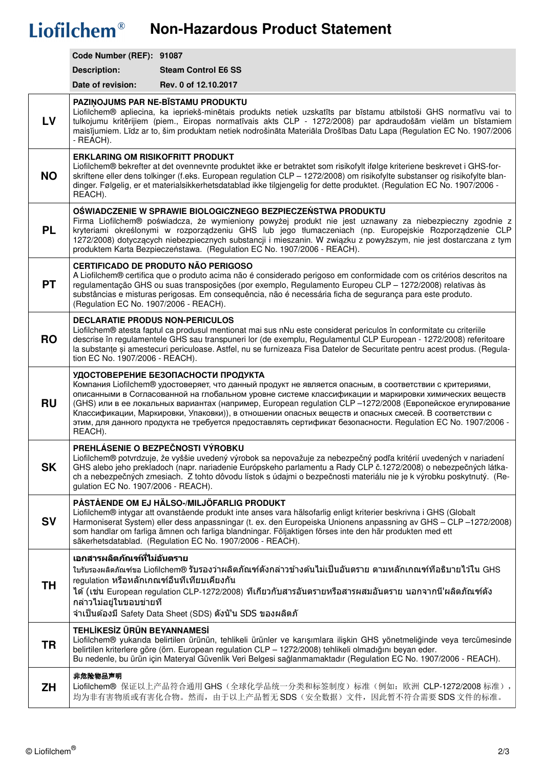## Liofilchem<sup>®</sup> Non-Hazardous Product Statement

|           | Code Number (REF): 91087                                                                                                                                                                                                                                                                                                                                                                                                                                                                                                                                                                                  |                                                                                                                                        |  |
|-----------|-----------------------------------------------------------------------------------------------------------------------------------------------------------------------------------------------------------------------------------------------------------------------------------------------------------------------------------------------------------------------------------------------------------------------------------------------------------------------------------------------------------------------------------------------------------------------------------------------------------|----------------------------------------------------------------------------------------------------------------------------------------|--|
|           | <b>Description:</b>                                                                                                                                                                                                                                                                                                                                                                                                                                                                                                                                                                                       | <b>Steam Control E6 SS</b>                                                                                                             |  |
|           | Date of revision:                                                                                                                                                                                                                                                                                                                                                                                                                                                                                                                                                                                         | Rev. 0 of 12.10.2017                                                                                                                   |  |
| <b>LV</b> | PAZINOJUMS PAR NE-BĪSTAMU PRODUKTU<br>Liofilchem® apliecina, ka iepriekš-minētais produkts netiek uzskatīts par bīstamu atbilstoši GHS normatīvu vai to<br>tulkojumu kritērijiem (piem., Eiropas normatīvais akts CLP - 1272/2008) par apdraudošām vielām un bīstamiem<br>maisījumiem. Līdz ar to, šim produktam netiek nodrošināta Materiāla Drošības Datu Lapa (Regulation EC No. 1907/2006<br>- REACH).                                                                                                                                                                                                |                                                                                                                                        |  |
| <b>NO</b> | <b>ERKLARING OM RISIKOFRITT PRODUKT</b><br>Liofilchem® bekrefter at det ovennevnte produktet ikke er betraktet som risikofylt ifølge kriteriene beskrevet i GHS-for-<br>skriftene eller dens tolkinger (f.eks. European regulation CLP - 1272/2008) om risikofylte substanser og risikofylte blan-<br>dinger. Følgelig, er et materialsikkerhetsdatablad ikke tilgjengelig for dette produktet. (Regulation EC No. 1907/2006 -<br>REACH).                                                                                                                                                                 |                                                                                                                                        |  |
| <b>PL</b> | OŚWIADCZENIE W SPRAWIE BIOLOGICZNEGO BEZPIECZEŃSTWA PRODUKTU<br>Firma Liofilchem® poświadcza, że wymieniony powyżej produkt nie jest uznawany za niebezpieczny zgodnie z<br>kryteriami określonymi w rozporządzeniu GHS lub jego tłumaczeniach (np. Europejskie Rozporządzenie CLP<br>1272/2008) dotyczących niebezpiecznych substancji i mieszanin. W związku z powyższym, nie jest dostarczana z tym<br>produktem Karta Bezpieczeństawa. (Regulation EC No. 1907/2006 - REACH).                                                                                                                         |                                                                                                                                        |  |
| <b>PT</b> | <b>CERTIFICADO DE PRODUTO NÃO PERIGOSO</b><br>A Liofilchem® certifica que o produto acima não é considerado perigoso em conformidade com os critérios descritos na<br>regulamentação GHS ou suas transposições (por exemplo, Regulamento Europeu CLP - 1272/2008) relativas às<br>substâncias e misturas perigosas. Em consequência, não é necessária ficha de segurança para este produto.<br>(Regulation EC No. 1907/2006 - REACH).                                                                                                                                                                     |                                                                                                                                        |  |
| <b>RO</b> | <b>DECLARATIE PRODUS NON-PERICULOS</b><br>Liofilchem® atesta faptul ca produsul mentionat mai sus nNu este considerat periculos în conformitate cu criteriile<br>descrise în regulamentele GHS sau transpuneri lor (de exemplu, Regulamentul CLP European - 1272/2008) referitoare<br>la substante și amestecuri periculoase. Astfel, nu se furnizeaza Fisa Datelor de Securitate pentru acest produs. (Regula-<br>tion EC No. 1907/2006 - REACH).                                                                                                                                                        |                                                                                                                                        |  |
| <b>RU</b> | УДОСТОВЕРЕНИЕ БЕЗОПАСНОСТИ ПРОДУКТА<br>Koмпания Liofilchem® удостоверяет, что данный продукт не является опасным, в соответствии с критериями,<br>описанными в Согласованной на глобальном уровне системе классификации и маркировки химических веществ<br>(GHS) или в ее локальных вариантах (например, European regulation CLP -1272/2008 (Европейское егулирование<br>Классификации, Маркировки, Упаковки)), в отношении опасных веществ и опасных смесей. В соответствии с<br>этим, для данного продукта не требуется предоставлять сертификат безопасности. Regulation EC No. 1907/2006 -<br>REACH). |                                                                                                                                        |  |
| <b>SK</b> | PREHLÁSENIE O BEZPEČNOSTI VÝROBKU<br>Liofilchem® potvrdzuje, že vyššie uvedený výrobok sa nepovažuje za nebezpečný podľa kritérií uvedených v nariadení<br>GHS alebo jeho prekladoch (napr. nariadenie Európskeho parlamentu a Rady CLP č.1272/2008) o nebezpečných látka-<br>ch a nebezpečných zmesiach. Z tohto dôvodu lístok s údajmi o bezpečnosti materiálu nie je k výrobku poskytnutý. (Re-<br>gulation EC No. 1907/2006 - REACH).                                                                                                                                                                 |                                                                                                                                        |  |
| <b>SV</b> | PÅSTÅENDE OM EJ HÄLSO-/MILJÖFARLIG PRODUKT<br>Liofilchem® intygar att ovanstående produkt inte anses vara hälsofarlig enligt kriterier beskrivna i GHS (Globalt<br>Harmoniserat System) eller dess anpassningar (t. ex. den Europeiska Unionens anpassning av GHS - CLP -1272/2008)<br>som handlar om farliga ämnen och farliga blandningar. Följaktigen förses inte den här produkten med ett<br>säkerhetsdatablad. (Regulation EC No. 1907/2006 - REACH).                                                                                                                                               |                                                                                                                                        |  |
| <b>TH</b> | ี เอกสารผลิตภัณฑ์ที่ไม่อันตราย <b>ี</b><br>้ใบรับรองผลิตภัณฑ์ขอ Liofilchem® รับรองว่าผลิตภัณฑ์ดังกล่าวข้างต้นไม่เป็นอันตราย ตามหลักเกณฑ์ที่อธิบายไว้ใน GHS<br>regulation หรือหลักเกณฑ์อื่นที่เทียบเคียงกัน<br>ได้ (เช่น European regulation CLP-1272/2008) ที่เกี่ยวกับสารอันตรายหรือสารผสมอันตราย นอกจากนี่'ผลิตภัณฑ์ดัง<br>ึกล่าวไม่อยู่ในขอบข่ายที<br>จำเป็นต้องมี Safety Data Sheet (SDS) ดังนั'น SDS ของผลิตภั                                                                                                                                                                                       |                                                                                                                                        |  |
| <b>TR</b> | TEHLİKESİZ ÜRÜN BEYANNAMESİ<br>Liofilchem® yukarıda belirtilen ürünün, tehlikeli ürünler ve karışımlara ilişkin GHS yönetmeliğinde veya tercümesinde<br>belirtilen kriterlere göre (örn. European regulation CLP - 1272/2008) tehlikeli olmadığını beyan eder.<br>Bu nedenle, bu ürün için Materyal Güvenlik Veri Belgesi sağlanmamaktadır (Regulation EC No. 1907/2006 - REACH).                                                                                                                                                                                                                         |                                                                                                                                        |  |
| <b>ZH</b> | 非危险物品声明                                                                                                                                                                                                                                                                                                                                                                                                                                                                                                                                                                                                   | Liofilchem® 保证以上产品符合通用 GHS (全球化学品统一分类和标签制度) 标准 (例如: 欧洲 CLP-1272/2008 标准),<br>均为非有害物质或有害化合物。然而,由于以上产品暂无 SDS(安全数据)文件,因此暂不符合需要 SDS 文件的标准。 |  |